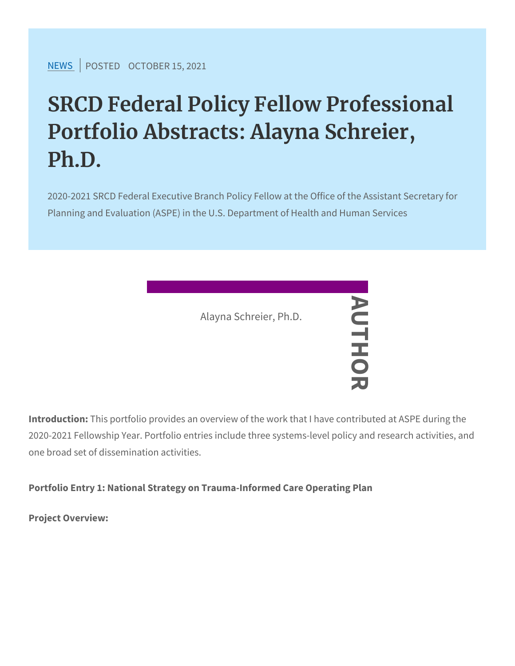[NEW](https://www.srcd.org/news)SPOSTEDCTOBER 15, 2021

# SRCD Federal Policy Fellow Prof Portfolio Abstracts: Alayna Schr Ph.D.

2020-2021 SRCD Federal Executive Branch Policy Fellow at the Or Planning and Evaluation (ASPE) in the U.S. Department of Health

IntroductThis portfolio provides an overview of the work that I have 2020-2021 Fellowship Year. Portfolio entries, Uclude three systems one broad set of dissemination activities. Alayna Schreier, Ph.D. AUTHOR

Portfolio Entry 1: National Strategy on Trauma-Informed Care Operation

Project Overview: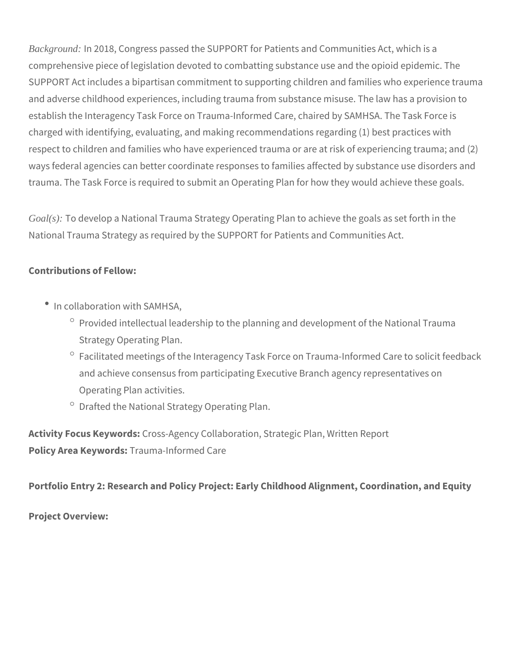*Background:* In 2018, Congress passed the SUPPORT for Patients and Communities Act, which is a comprehensive piece of legislation devoted to combatting substance use and the opioid epidemic. The SUPPORT Act includes a bipartisan commitment to supporting children and families who experience trauma and adverse childhood experiences, including trauma from substance misuse. The law has a provision to establish the Interagency Task Force on Trauma-Informed Care, chaired by SAMHSA. The Task Force is charged with identifying, evaluating, and making recommendations regarding (1) best practices with respect to children and families who have experienced trauma or are at risk of experiencing trauma; and (2) ways federal agencies can better coordinate responses to families affected by substance use disorders and trauma. The Task Force is required to submit an Operating Plan for how they would achieve these goals.

*Goal(s):* To develop a National Trauma Strategy Operating Plan to achieve the goals as set forth in the National Trauma Strategy as required by the SUPPORT for Patients and Communities Act.

## **Contributions of Fellow:**

- In collaboration with SAMHSA,
	- $\degree$  Provided intellectual leadership to the planning and development of the National Trauma Strategy Operating Plan.
	- $\degree$  Facilitated meetings of the Interagency Task Force on Trauma-Informed Care to solicit feedback and achieve consensus from participating Executive Branch agency representatives on Operating Plan activities.
	- $\degree$  Drafted the National Strategy Operating Plan.

**Activity Focus Keywords:** Cross-Agency Collaboration, Strategic Plan, Written Report **Policy Area Keywords:** Trauma-Informed Care

**Portfolio Entry 2: Research and Policy Project: Early Childhood Alignment, Coordination, and Equity** 

**Project Overview:**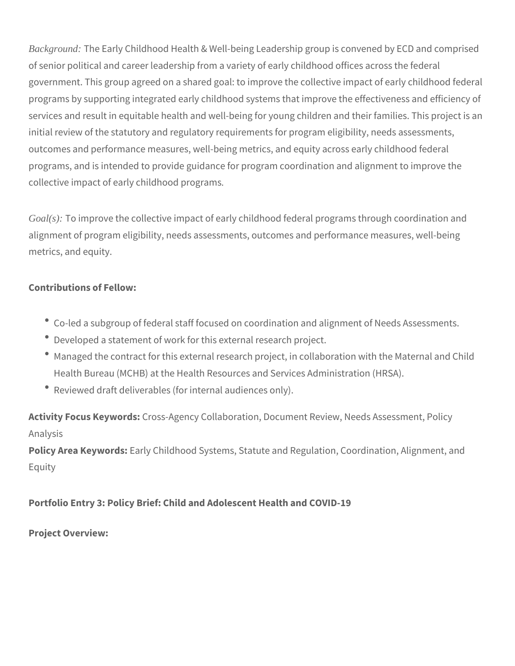*Background:* The Early Childhood Health & Well-being Leadership group is convened by ECD and comprised of senior political and career leadership from a variety of early childhood offices across the federal government. This group agreed on a shared goal: to improve the collective impact of early childhood federal programs by supporting integrated early childhood systems that improve the effectiveness and efficiency of services and result in equitable health and well-being for young children and their families. This project is an initial review of the statutory and regulatory requirements for program eligibility, needs assessments, outcomes and performance measures, well-being metrics, and equity across early childhood federal programs, and is intended to provide guidance for program coordination and alignment to improve the collective impact of early childhood programs*.* 

*Goal(s):* To improve the collective impact of early childhood federal programs through coordination and alignment of program eligibility, needs assessments, outcomes and performance measures, well-being metrics, and equity.

## **Contributions of Fellow:**

- Co-led a subgroup of federal staff focused on coordination and alignment of Needs Assessments.
- Developed a statement of work for this external research project.
- Managed the contract for this external research project, in collaboration with the Maternal and Child Health Bureau (MCHB) at the Health Resources and Services Administration (HRSA).
- Reviewed draft deliverables (for internal audiences only).

**Activity Focus Keywords:** Cross-Agency Collaboration, Document Review, Needs Assessment, Policy Analysis

**Policy Area Keywords:** Early Childhood Systems, Statute and Regulation, Coordination, Alignment, and Equity

# **Portfolio Entry 3: Policy Brief: Child and Adolescent Health and COVID-19**

#### **Project Overview:**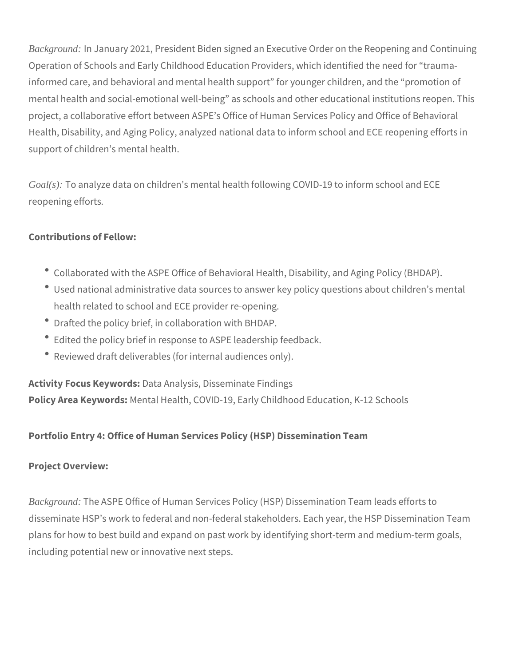*Background:* In January 2021, President Biden signed an Executive Order on the Reopening and Continuing Operation of Schools and Early Childhood Education Providers, which identified the need for "traumainformed care, and behavioral and mental health support" for younger children, and the "promotion of mental health and social-emotional well-being" as schools and other educational institutions reopen. This project, a collaborative effort between ASPE's Office of Human Services Policy and Office of Behavioral Health, Disability, and Aging Policy, analyzed national data to inform school and ECE reopening efforts in support of children's mental health.

*Goal(s):* To analyze data on children's mental health following COVID-19 to inform school and ECE reopening efforts*.* 

# **Contributions of Fellow:**

- Collaborated with the ASPE Office of Behavioral Health, Disability, and Aging Policy (BHDAP).
- Used national administrative data sources to answer key policy questions about children's mental health related to school and ECE provider re-opening.
- Drafted the policy brief, in collaboration with BHDAP.
- Edited the policy brief in response to ASPE leadership feedback.
- Reviewed draft deliverables (for internal audiences only).

**Activity Focus Keywords:** Data Analysis, Disseminate Findings **Policy Area Keywords:** Mental Health, COVID-19, Early Childhood Education, K-12 Schools

#### **Portfolio Entry 4: Office of Human Services Policy (HSP) Dissemination Team**

#### **Project Overview:**

*Background:* The ASPE Office of Human Services Policy (HSP) Dissemination Team leads efforts to disseminate HSP's work to federal and non-federal stakeholders. Each year, the HSP Dissemination Team plans for how to best build and expand on past work by identifying short-term and medium-term goals, including potential new or innovative next steps.